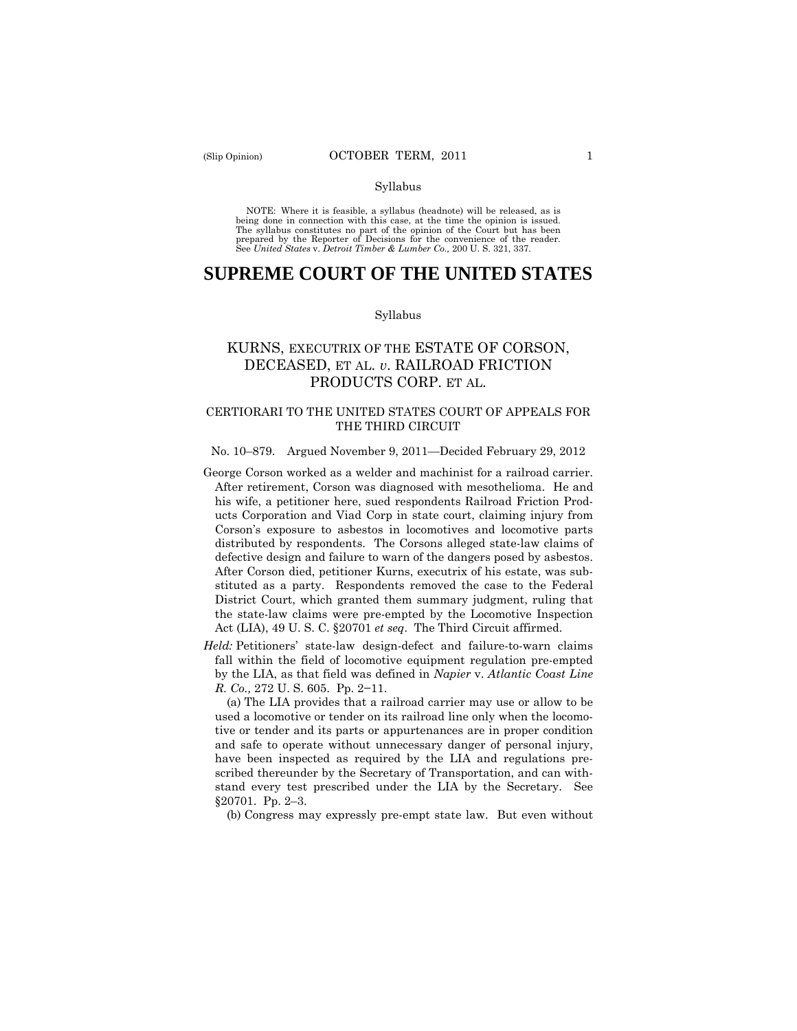#### Syllabus

 NOTE: Where it is feasible, a syllabus (headnote) will be released, as is being done in connection with this case, at the time the opinion is issued. The syllabus constitutes no part of the opinion of the Court but has been<br>prepared by the Reporter of Decisions for the convenience of the reader.<br>See United States v. Detroit Timber & Lumber Co., 200 U.S. 321, 337.

# **SUPREME COURT OF THE UNITED STATES**

#### Syllabus

# KURNS, EXECUTRIX OF THE ESTATE OF CORSON, DECEASED, ET AL. *v*. RAILROAD FRICTION PRODUCTS CORP. ET AL.

# CERTIORARI TO THE UNITED STATES COURT OF APPEALS FOR THE THIRD CIRCUIT

#### No. 10–879. Argued November 9, 2011—Decided February 29, 2012

- George Corson worked as a welder and machinist for a railroad carrier. After retirement, Corson was diagnosed with mesothelioma. He and his wife, a petitioner here, sued respondents Railroad Friction Products Corporation and Viad Corp in state court, claiming injury from Corson's exposure to asbestos in locomotives and locomotive parts distributed by respondents. The Corsons alleged state-law claims of defective design and failure to warn of the dangers posed by asbestos. After Corson died, petitioner Kurns, executrix of his estate, was substituted as a party. Respondents removed the case to the Federal District Court, which granted them summary judgment, ruling that the state-law claims were pre-empted by the Locomotive Inspection Act (LIA), 49 U. S. C. §20701 *et seq*. The Third Circuit affirmed.
- *Held:* Petitioners' state-law design-defect and failure-to-warn claims fall within the field of locomotive equipment regulation pre-empted by the LIA, as that field was defined in *Napier* v. *Atlantic Coast Line R. Co.,* 272 U. S. 605. Pp. 2−11.

(a) The LIA provides that a railroad carrier may use or allow to be used a locomotive or tender on its railroad line only when the locomotive or tender and its parts or appurtenances are in proper condition and safe to operate without unnecessary danger of personal injury, have been inspected as required by the LIA and regulations prescribed thereunder by the Secretary of Transportation, and can withstand every test prescribed under the LIA by the Secretary. See §20701. Pp. 2–3.

(b) Congress may expressly pre-empt state law. But even without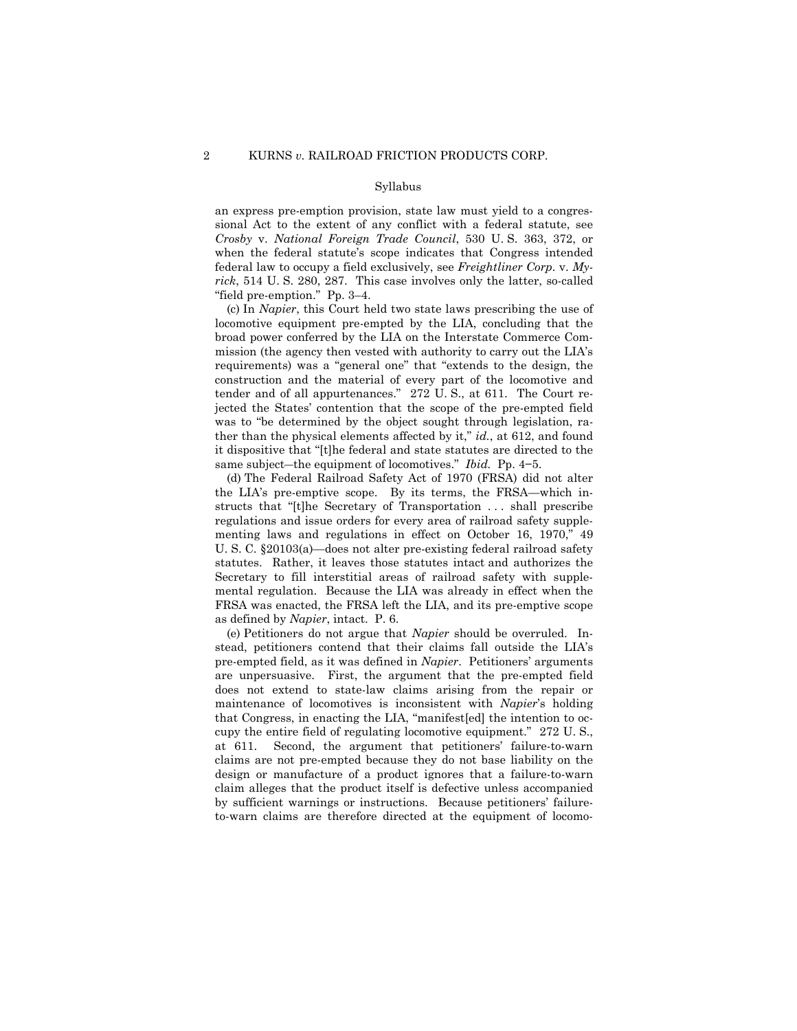#### Syllabus

an express pre-emption provision, state law must yield to a congressional Act to the extent of any conflict with a federal statute, see *Crosby* v. *National Foreign Trade Council*, 530 U. S. 363, 372, or when the federal statute's scope indicates that Congress intended federal law to occupy a field exclusively, see *Freightliner Corp.* v. *Myrick*, 514 U. S. 280, 287. This case involves only the latter, so-called "field pre-emption." Pp. 3–4.

(c) In *Napier*, this Court held two state laws prescribing the use of locomotive equipment pre-empted by the LIA, concluding that the broad power conferred by the LIA on the Interstate Commerce Commission (the agency then vested with authority to carry out the LIA's requirements) was a "general one" that "extends to the design, the construction and the material of every part of the locomotive and tender and of all appurtenances." 272 U. S., at 611. The Court rejected the States' contention that the scope of the pre-empted field was to "be determined by the object sought through legislation, rather than the physical elements affected by it," *id.*, at 612, and found it dispositive that "[t]he federal and state statutes are directed to the same subject—the equipment of locomotives." *Ibid.* Pp. 4−5.

(d) The Federal Railroad Safety Act of 1970 (FRSA) did not alter the LIA's pre-emptive scope. By its terms, the FRSA—which instructs that "[t]he Secretary of Transportation . . . shall prescribe regulations and issue orders for every area of railroad safety supplementing laws and regulations in effect on October 16, 1970," 49 U. S. C. §20103(a)—does not alter pre-existing federal railroad safety statutes. Rather, it leaves those statutes intact and authorizes the Secretary to fill interstitial areas of railroad safety with supplemental regulation. Because the LIA was already in effect when the FRSA was enacted, the FRSA left the LIA, and its pre-emptive scope as defined by *Napier*, intact. P. 6.

 at 611. Second, the argument that petitioners' failure-to-warn (e) Petitioners do not argue that *Napier* should be overruled. Instead, petitioners contend that their claims fall outside the LIA's pre-empted field, as it was defined in *Napier*. Petitioners' arguments are unpersuasive. First, the argument that the pre-empted field does not extend to state-law claims arising from the repair or maintenance of locomotives is inconsistent with *Napier*'s holding that Congress, in enacting the LIA, "manifest[ed] the intention to occupy the entire field of regulating locomotive equipment." 272 U. S., claims are not pre-empted because they do not base liability on the design or manufacture of a product ignores that a failure-to-warn claim alleges that the product itself is defective unless accompanied by sufficient warnings or instructions. Because petitioners' failureto-warn claims are therefore directed at the equipment of locomo-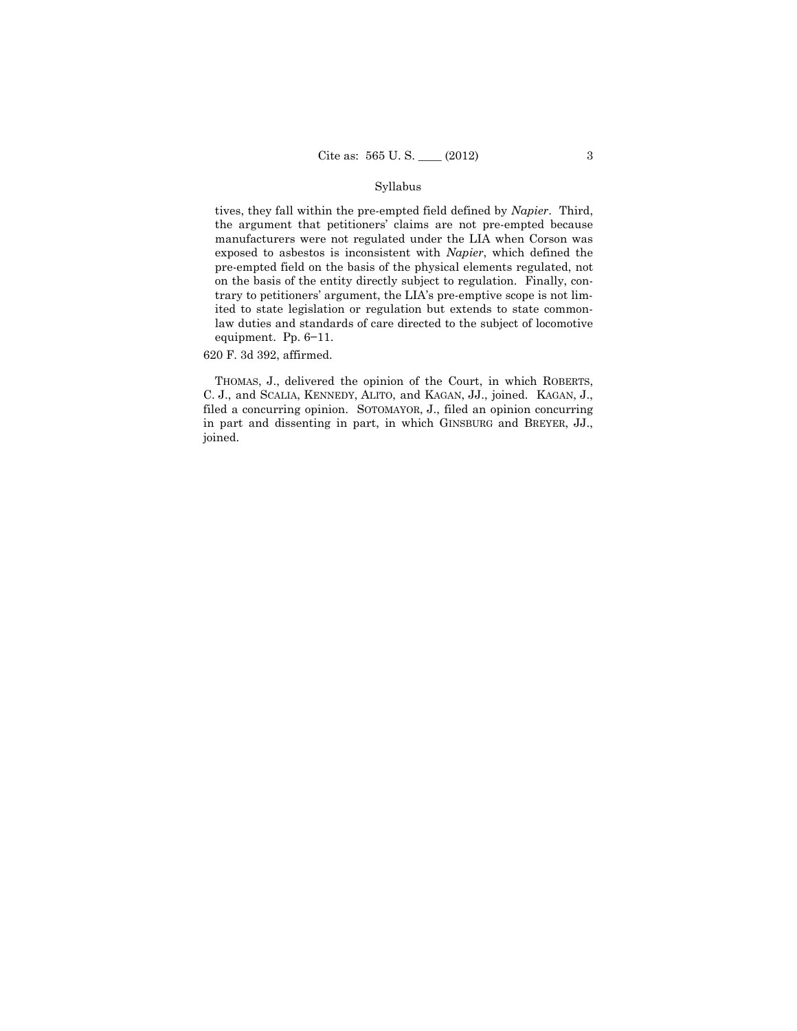### Syllabus

tives, they fall within the pre-empted field defined by *Napier*. Third, the argument that petitioners' claims are not pre-empted because manufacturers were not regulated under the LIA when Corson was exposed to asbestos is inconsistent with *Napier*, which defined the pre-empted field on the basis of the physical elements regulated, not on the basis of the entity directly subject to regulation. Finally, contrary to petitioners' argument, the LIA's pre-emptive scope is not limited to state legislation or regulation but extends to state commonlaw duties and standards of care directed to the subject of locomotive equipment. Pp. 6−11.

620 F. 3d 392, affirmed.

 THOMAS, J., delivered the opinion of the Court, in which ROBERTS, in part and dissenting in part, in which GINSBURG and BREYER, JJ., C. J., and SCALIA, KENNEDY, ALITO, and KAGAN, JJ., joined. KAGAN, J., filed a concurring opinion. SOTOMAYOR, J., filed an opinion concurring joined.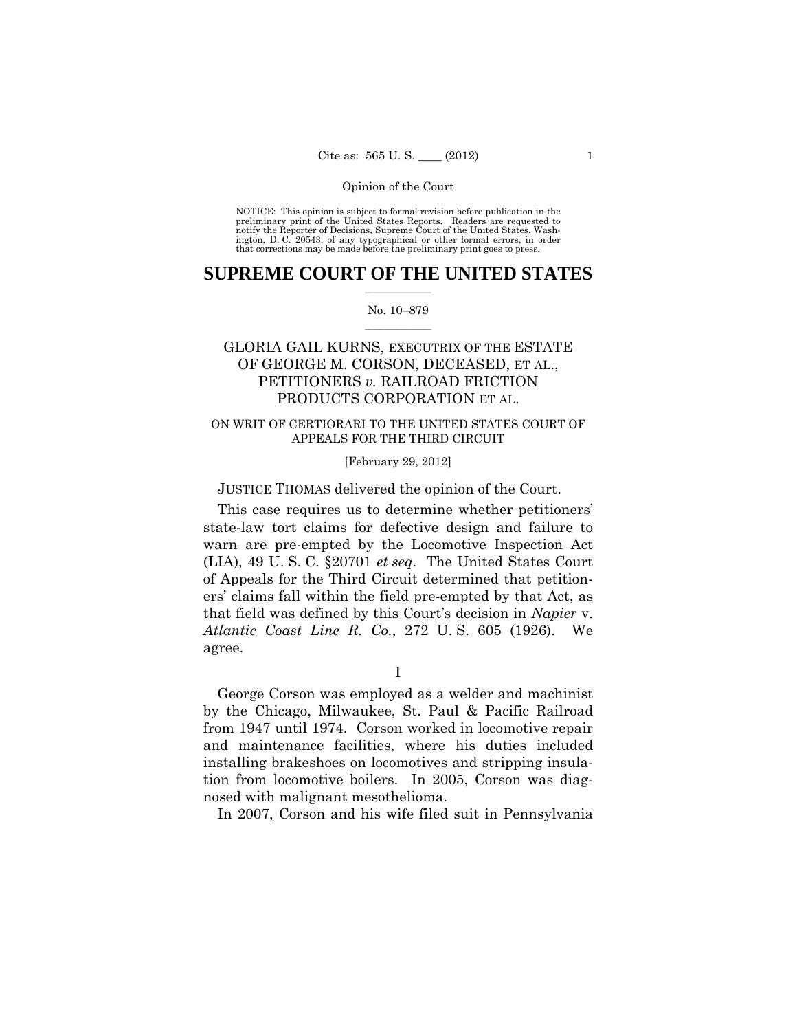preliminary print of the United States Reports. Readers are requested to notify the Reporter of Decisions, Supreme Court of the United States, Wash- ington, D. C. 20543, of any typographical or other formal errors, in order that corrections may be made before the preliminary print goes to press. NOTICE: This opinion is subject to formal revision before publication in the

# $\frac{1}{2}$  ,  $\frac{1}{2}$  ,  $\frac{1}{2}$  ,  $\frac{1}{2}$  ,  $\frac{1}{2}$  ,  $\frac{1}{2}$  ,  $\frac{1}{2}$ **SUPREME COURT OF THE UNITED STATES**

### $\frac{1}{2}$  ,  $\frac{1}{2}$  ,  $\frac{1}{2}$  ,  $\frac{1}{2}$  ,  $\frac{1}{2}$  ,  $\frac{1}{2}$ No. 10–879

# GLORIA GAIL KURNS, EXECUTRIX OF THE ESTATE<br>OF GEORGE M. CORSON, DECEASED, ET AL., PETITIONERS *v.* RAILROAD FRICTION PRODUCTS CORPORATION ET AL.

# APPEALS FOR THE THIRD CIRCUIT<br>[February 29, 2012] ON WRIT OF CERTIORARI TO THE UNITED STATES COURT OF

JUSTICE THOMAS delivered the opinion of the Court.

This case requires us to determine whether petitioners' state-law tort claims for defective design and failure to warn are pre-empted by the Locomotive Inspection Act (LIA), 49 U. S. C. §20701 *et seq*. The United States Court of Appeals for the Third Circuit determined that petitioners' claims fall within the field pre-empted by that Act, as that field was defined by this Court's decision in *Napier* v. *Atlantic Coast Line R. Co.*, 272 U. S. 605 (1926). We agree.

I

George Corson was employed as a welder and machinist by the Chicago, Milwaukee, St. Paul & Pacific Railroad from 1947 until 1974. Corson worked in locomotive repair and maintenance facilities, where his duties included installing brakeshoes on locomotives and stripping insulation from locomotive boilers. In 2005, Corson was diagnosed with malignant mesothelioma.

In 2007, Corson and his wife filed suit in Pennsylvania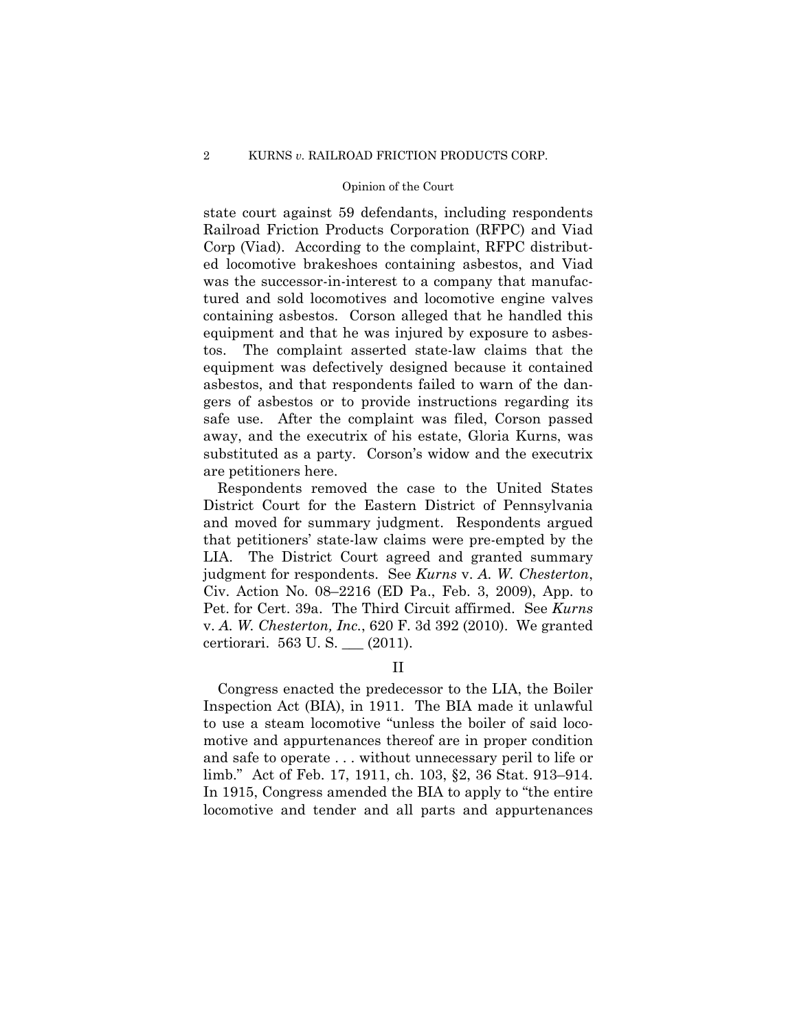state court against 59 defendants, including respondents Railroad Friction Products Corporation (RFPC) and Viad Corp (Viad). According to the complaint, RFPC distributed locomotive brakeshoes containing asbestos, and Viad was the successor-in-interest to a company that manufactured and sold locomotives and locomotive engine valves containing asbestos. Corson alleged that he handled this equipment and that he was injured by exposure to asbestos. The complaint asserted state-law claims that the equipment was defectively designed because it contained asbestos, and that respondents failed to warn of the dangers of asbestos or to provide instructions regarding its safe use. After the complaint was filed, Corson passed away, and the executrix of his estate, Gloria Kurns, was substituted as a party. Corson's widow and the executrix are petitioners here.

Respondents removed the case to the United States District Court for the Eastern District of Pennsylvania and moved for summary judgment. Respondents argued that petitioners' state-law claims were pre-empted by the LIA. The District Court agreed and granted summary judgment for respondents. See *Kurns* v. *A. W. Chesterton*, Civ. Action No. 08–2216 (ED Pa., Feb. 3, 2009), App. to Pet. for Cert. 39a. The Third Circuit affirmed. See *Kurns*  v. *A. W. Chesterton, Inc.*, 620 F. 3d 392 (2010). We granted certiorari. 563 U. S. \_\_\_ (2011).

II

Congress enacted the predecessor to the LIA, the Boiler Inspection Act (BIA), in 1911. The BIA made it unlawful to use a steam locomotive "unless the boiler of said locomotive and appurtenances thereof are in proper condition and safe to operate . . . without unnecessary peril to life or limb." Act of Feb. 17, 1911, ch. 103, §2, 36 Stat. 913–914. In 1915, Congress amended the BIA to apply to "the entire locomotive and tender and all parts and appurtenances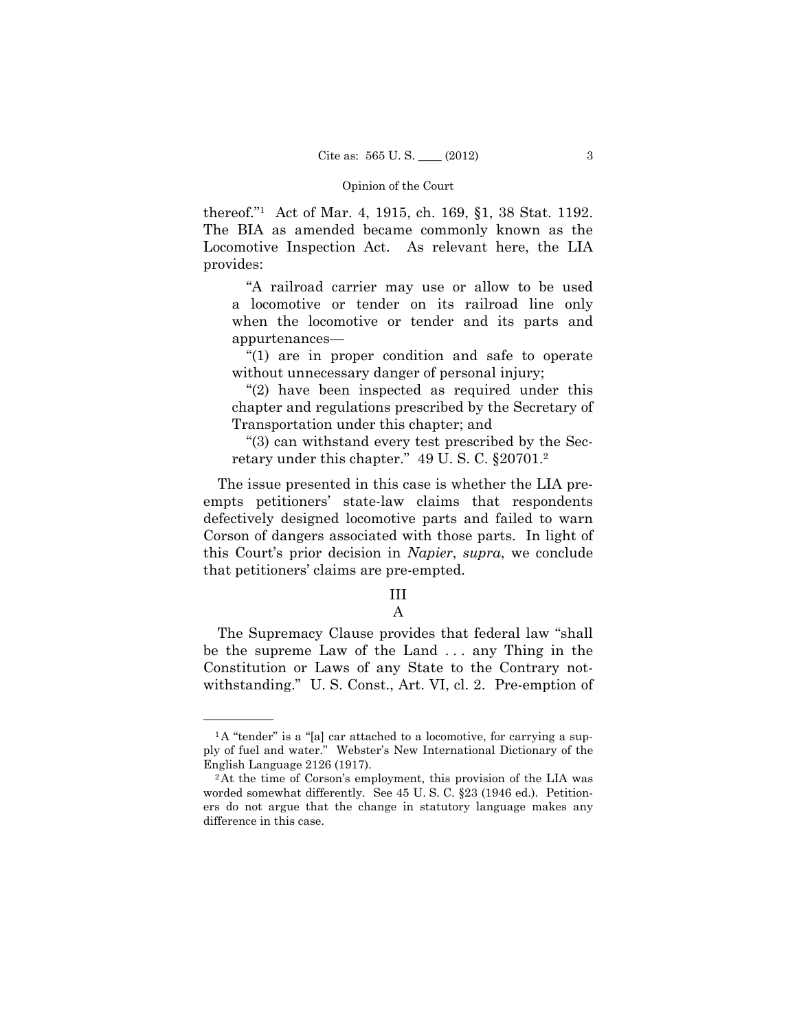thereof."1 Act of Mar. 4, 1915, ch. 169, §1, 38 Stat. 1192. The BIA as amended became commonly known as the Locomotive Inspection Act. As relevant here, the LIA provides:

"A railroad carrier may use or allow to be used a locomotive or tender on its railroad line only when the locomotive or tender and its parts and appurtenances—

"(1) are in proper condition and safe to operate without unnecessary danger of personal injury;

"(2) have been inspected as required under this chapter and regulations prescribed by the Secretary of Transportation under this chapter; and

"(3) can withstand every test prescribed by the Secretary under this chapter." 49 U. S. C. §20701.2

The issue presented in this case is whether the LIA preempts petitioners' state-law claims that respondents defectively designed locomotive parts and failed to warn Corson of dangers associated with those parts. In light of this Court's prior decision in *Napier*, *supra*, we conclude that petitioners' claims are pre-empted.

# III<br>A

The Supremacy Clause provides that federal law "shall be the supreme Law of the Land . . . any Thing in the Constitution or Laws of any State to the Contrary notwithstanding." U. S. Const., Art. VI, cl. 2. Pre-emption of

 $1A$  "tender" is a "[a] car attached to a locomotive, for carrying a supply of fuel and water." Webster's New International Dictionary of the English Language 2126 (1917).<br><sup>2</sup>At the time of Corson's employment, this provision of the LIA was

worded somewhat differently. See 45 U. S. C. §23 (1946 ed.). Petition ers do not argue that the change in statutory language makes any difference in this case. 1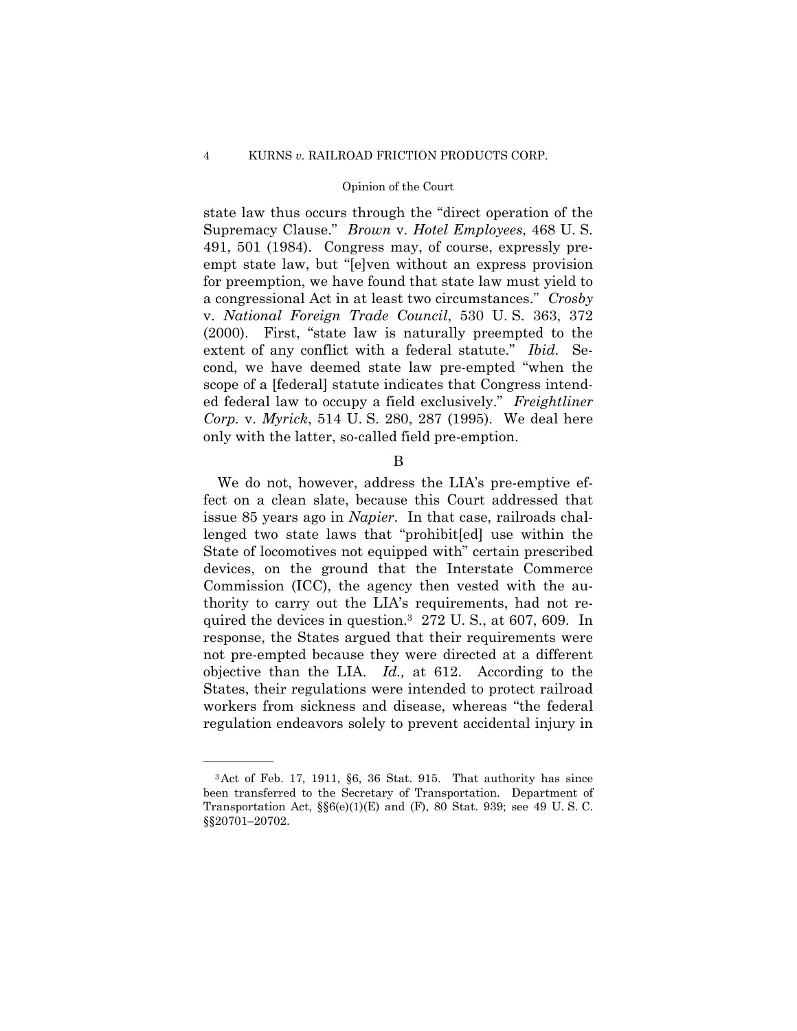state law thus occurs through the "direct operation of the Supremacy Clause." *Brown* v. *Hotel Employees*, 468 U. S. 491, 501 (1984). Congress may, of course, expressly preempt state law, but "[e]ven without an express provision for preemption, we have found that state law must yield to a congressional Act in at least two circumstances." *Crosby*  v. *National Foreign Trade Council*, 530 U. S. 363, 372 (2000). First, "state law is naturally preempted to the extent of any conflict with a federal statute." *Ibid.* Second, we have deemed state law pre-empted "when the scope of a [federal] statute indicates that Congress intended federal law to occupy a field exclusively." *Freightliner Corp.* v. *Myrick*, 514 U. S. 280, 287 (1995). We deal here only with the latter, so-called field pre-emption.

### B

We do not, however, address the LIA's pre-emptive effect on a clean slate, because this Court addressed that issue 85 years ago in *Napier*. In that case, railroads challenged two state laws that "prohibit[ed] use within the State of locomotives not equipped with" certain prescribed devices, on the ground that the Interstate Commerce Commission (ICC), the agency then vested with the authority to carry out the LIA's requirements, had not required the devices in question.3 272 U. S., at 607, 609. In response, the States argued that their requirements were not pre-empted because they were directed at a different objective than the LIA. *Id.,* at 612. According to the States, their regulations were intended to protect railroad workers from sickness and disease, whereas "the federal regulation endeavors solely to prevent accidental injury in

<sup>3</sup>Act of Feb. 17, 1911, §6, 36 Stat. 915. That authority has since been transferred to the Secretary of Transportation. Department of Transportation Act, §§6(e)(1)(E) and (F), 80 Stat. 939; see 49 U. S. C. §§20701–20702.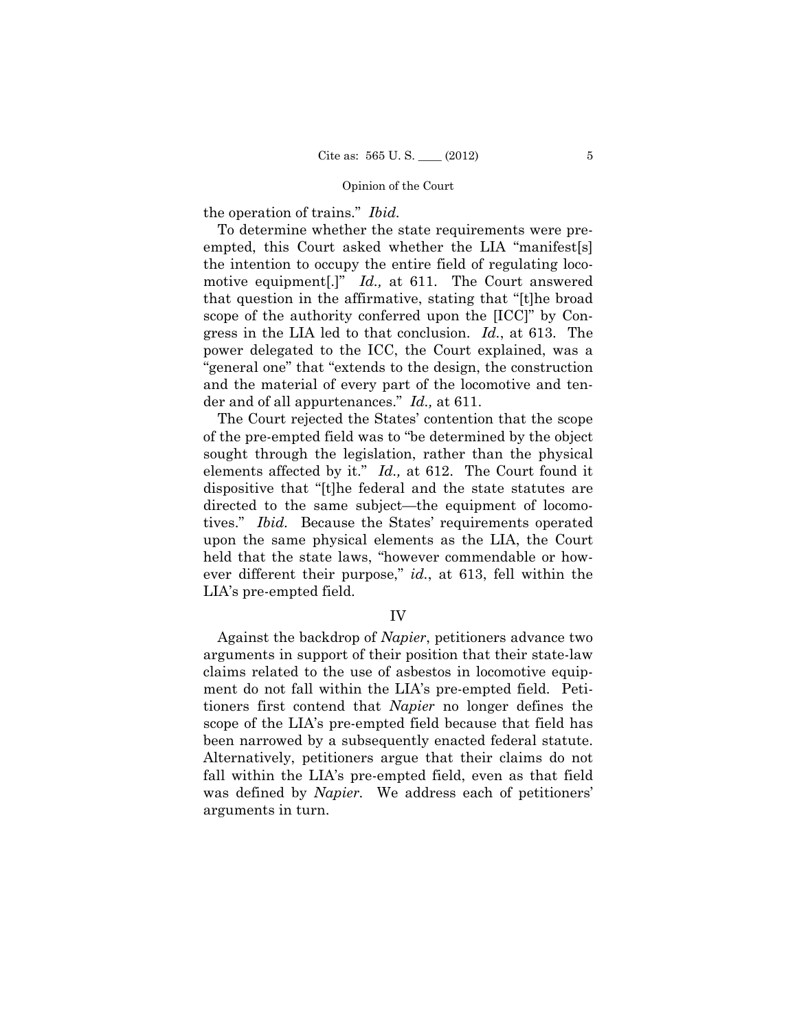the operation of trains." *Ibid.* 

To determine whether the state requirements were preempted, this Court asked whether the LIA "manifest[s] the intention to occupy the entire field of regulating locomotive equipment[.]" *Id.,* at 611. The Court answered that question in the affirmative, stating that "[t]he broad scope of the authority conferred upon the [ICC]" by Congress in the LIA led to that conclusion. *Id.*, at 613. The power delegated to the ICC, the Court explained, was a "general one" that "extends to the design, the construction and the material of every part of the locomotive and tender and of all appurtenances." *Id.,* at 611.

The Court rejected the States' contention that the scope of the pre-empted field was to "be determined by the object sought through the legislation, rather than the physical elements affected by it." *Id.,* at 612. The Court found it dispositive that "[t]he federal and the state statutes are directed to the same subject—the equipment of locomotives." *Ibid.* Because the States' requirements operated upon the same physical elements as the LIA, the Court held that the state laws, "however commendable or however different their purpose," *id.*, at 613, fell within the LIA's pre-empted field.

# IV

Against the backdrop of *Napier*, petitioners advance two arguments in support of their position that their state-law claims related to the use of asbestos in locomotive equipment do not fall within the LIA's pre-empted field. Petitioners first contend that *Napier* no longer defines the scope of the LIA's pre-empted field because that field has been narrowed by a subsequently enacted federal statute. Alternatively, petitioners argue that their claims do not fall within the LIA's pre-empted field, even as that field was defined by *Napier.* We address each of petitioners' arguments in turn.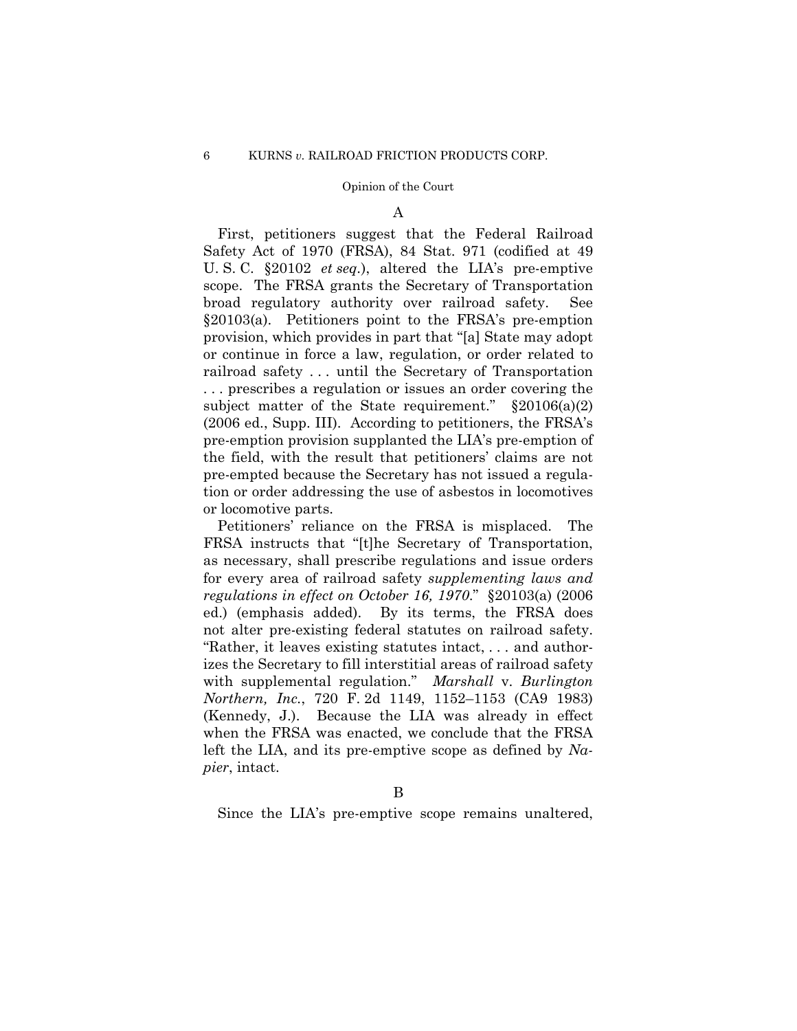A

First, petitioners suggest that the Federal Railroad Safety Act of 1970 (FRSA), 84 Stat. 971 (codified at 49 U. S. C. §20102 *et seq.*), altered the LIA's pre-emptive scope. The FRSA grants the Secretary of Transportation broad regulatory authority over railroad safety. See §20103(a). Petitioners point to the FRSA's pre-emption provision, which provides in part that "[a] State may adopt or continue in force a law, regulation, or order related to railroad safety . . . until the Secretary of Transportation . . . prescribes a regulation or issues an order covering the subject matter of the State requirement."  $\S 20106(a)(2)$ (2006 ed., Supp. III). According to petitioners, the FRSA's pre-emption provision supplanted the LIA's pre-emption of the field, with the result that petitioners' claims are not pre-empted because the Secretary has not issued a regulation or order addressing the use of asbestos in locomotives or locomotive parts.

 not alter pre-existing federal statutes on railroad safety. Petitioners' reliance on the FRSA is misplaced. The FRSA instructs that "[t]he Secretary of Transportation, as necessary, shall prescribe regulations and issue orders for every area of railroad safety *supplementing laws and regulations in effect on October 16, 1970*." §20103(a) (2006 ed.) (emphasis added). By its terms, the FRSA does "Rather, it leaves existing statutes intact, . . . and authorizes the Secretary to fill interstitial areas of railroad safety with supplemental regulation." *Marshall* v. *Burlington Northern, Inc.*, 720 F. 2d 1149, 1152–1153 (CA9 1983) (Kennedy, J.). Because the LIA was already in effect when the FRSA was enacted, we conclude that the FRSA left the LIA, and its pre-emptive scope as defined by *Napier*, intact.

Since the LIA's pre-emptive scope remains unaltered,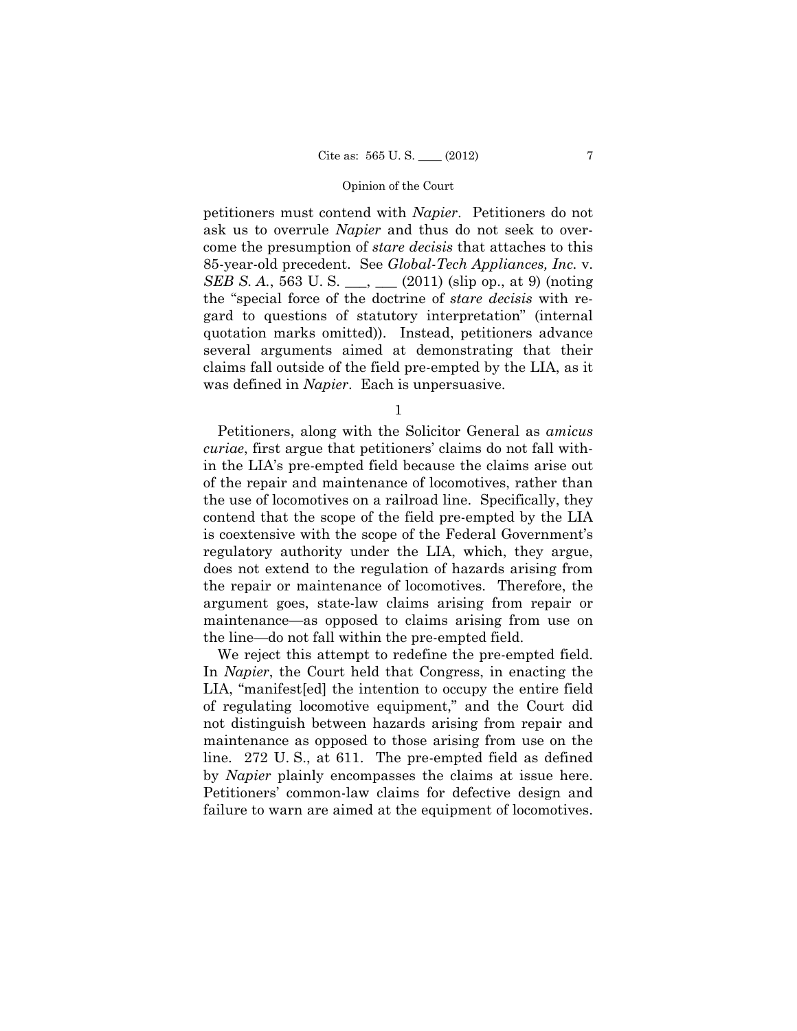petitioners must contend with *Napier*. Petitioners do not ask us to overrule *Napier* and thus do not seek to overcome the presumption of *stare decisis* that attaches to this 85-year-old precedent. See *Global-Tech Appliances, Inc.* v. *SEB S. A.*, 563 U. S. \_\_\_, \_\_\_ (2011) (slip op., at 9) (noting the "special force of the doctrine of *stare decisis* with regard to questions of statutory interpretation" (internal quotation marks omitted)). Instead, petitioners advance several arguments aimed at demonstrating that their claims fall outside of the field pre-empted by the LIA, as it was defined in *Napier*. Each is unpersuasive.

1

Petitioners, along with the Solicitor General as *amicus curiae*, first argue that petitioners' claims do not fall within the LIA's pre-empted field because the claims arise out of the repair and maintenance of locomotives, rather than the use of locomotives on a railroad line. Specifically, they contend that the scope of the field pre-empted by the LIA is coextensive with the scope of the Federal Government's regulatory authority under the LIA, which, they argue, does not extend to the regulation of hazards arising from the repair or maintenance of locomotives. Therefore, the argument goes, state-law claims arising from repair or maintenance—as opposed to claims arising from use on the line—do not fall within the pre-empted field.

We reject this attempt to redefine the pre-empted field. In *Napier*, the Court held that Congress, in enacting the LIA, "manifest[ed] the intention to occupy the entire field of regulating locomotive equipment," and the Court did not distinguish between hazards arising from repair and maintenance as opposed to those arising from use on the line. 272 U. S., at 611. The pre-empted field as defined by *Napier* plainly encompasses the claims at issue here. Petitioners' common-law claims for defective design and failure to warn are aimed at the equipment of locomotives.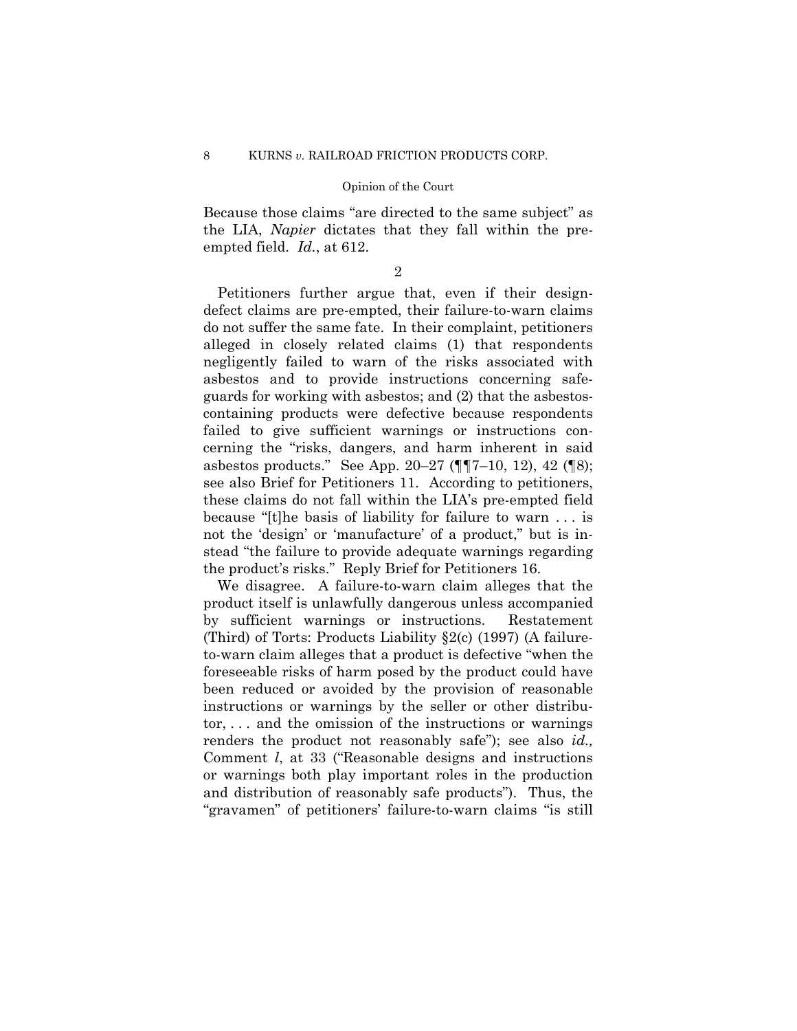Because those claims "are directed to the same subject" as the LIA, *Napier* dictates that they fall within the preempted field. *Id.*, at 612.

2

Petitioners further argue that, even if their designdefect claims are pre-empted, their failure-to-warn claims do not suffer the same fate. In their complaint, petitioners alleged in closely related claims (1) that respondents negligently failed to warn of the risks associated with asbestos and to provide instructions concerning safeguards for working with asbestos; and (2) that the asbestoscontaining products were defective because respondents failed to give sufficient warnings or instructions concerning the "risks, dangers, and harm inherent in said asbestos products." See App. 20–27 (¶¶7–10, 12), 42 (¶8); see also Brief for Petitioners 11. According to petitioners, these claims do not fall within the LIA's pre-empted field because "[t]he basis of liability for failure to warn . . . is not the 'design' or 'manufacture' of a product," but is instead "the failure to provide adequate warnings regarding the product's risks." Reply Brief for Petitioners 16.

We disagree. A failure-to-warn claim alleges that the product itself is unlawfully dangerous unless accompanied by sufficient warnings or instructions. Restatement (Third) of Torts: Products Liability §2(c) (1997) (A failureto-warn claim alleges that a product is defective "when the foreseeable risks of harm posed by the product could have been reduced or avoided by the provision of reasonable instructions or warnings by the seller or other distributor, . . . and the omission of the instructions or warnings renders the product not reasonably safe"); see also *id.,*  Comment *l*, at 33 ("Reasonable designs and instructions or warnings both play important roles in the production and distribution of reasonably safe products"). Thus, the "gravamen" of petitioners' failure-to-warn claims "is still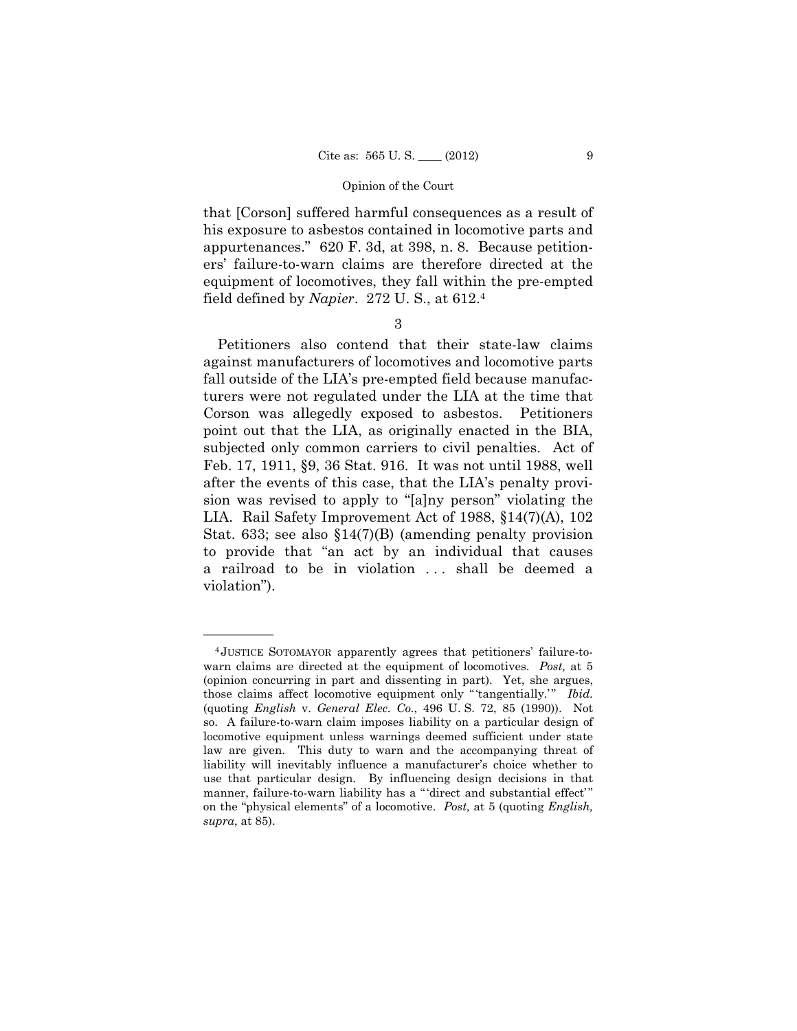that [Corson] suffered harmful consequences as a result of his exposure to asbestos contained in locomotive parts and appurtenances." 620 F. 3d, at 398, n. 8. Because petitioners' failure-to-warn claims are therefore directed at the equipment of locomotives, they fall within the pre-empted field defined by *Napier*. 272 U. S., at 612.4

Petitioners also contend that their state-law claims against manufacturers of locomotives and locomotive parts fall outside of the LIA's pre-empted field because manufacturers were not regulated under the LIA at the time that Corson was allegedly exposed to asbestos. Petitioners point out that the LIA, as originally enacted in the BIA, subjected only common carriers to civil penalties. Act of Feb. 17, 1911, §9, 36 Stat. 916. It was not until 1988, well after the events of this case, that the LIA's penalty provision was revised to apply to "[a]ny person" violating the LIA. Rail Safety Improvement Act of 1988, §14(7)(A), 102 Stat. 633; see also §14(7)(B) (amending penalty provision to provide that "an act by an individual that causes a railroad to be in violation ... shall be deemed a violation").

<sup>3</sup> 

<sup>4</sup> JUSTICE SOTOMAYOR apparently agrees that petitioners' failure-towarn claims are directed at the equipment of locomotives. *Post,* at 5 (opinion concurring in part and dissenting in part). Yet, she argues, those claims affect locomotive equipment only "'tangentially.'" *Ibid.* (quoting *English* v. *General Elec. Co.*, 496 U. S. 72, 85 (1990)). Not so. A failure-to-warn claim imposes liability on a particular design of locomotive equipment unless warnings deemed sufficient under state law are given. This duty to warn and the accompanying threat of liability will inevitably influence a manufacturer's choice whether to use that particular design. By influencing design decisions in that manner, failure-to-warn liability has a "'direct and substantial effect'" on the "physical elements" of a locomotive. *Post,* at 5 (quoting *English, supra*, at 85).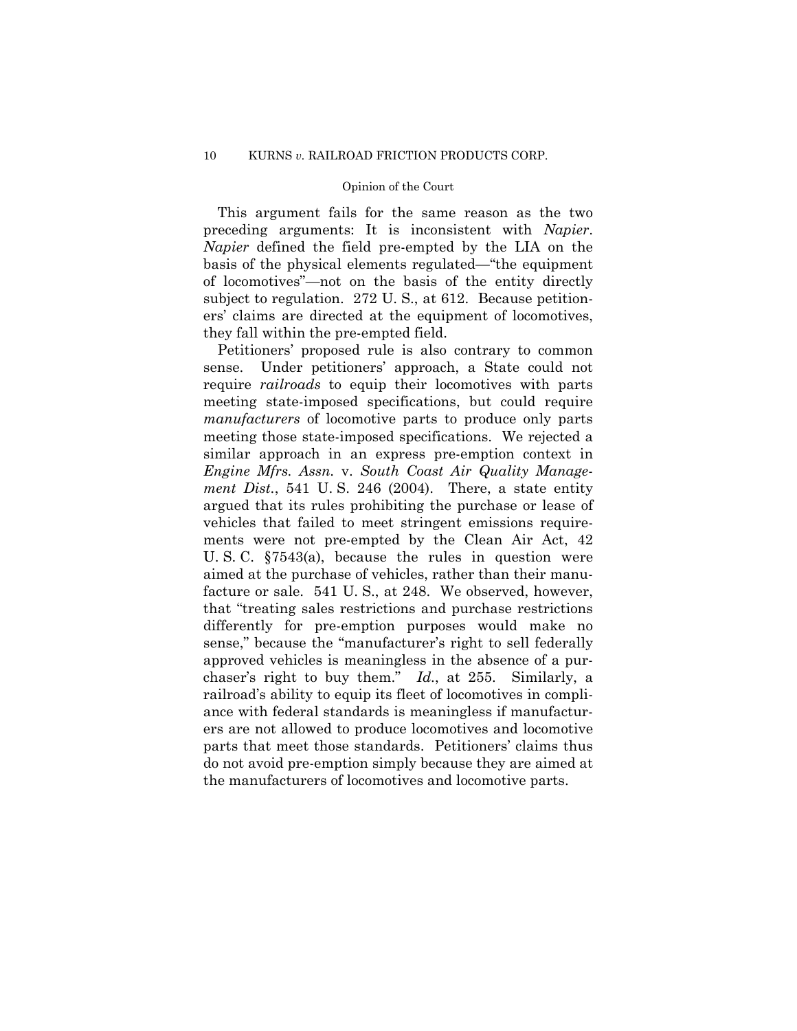This argument fails for the same reason as the two preceding arguments: It is inconsistent with *Napier*. *Napier* defined the field pre-empted by the LIA on the basis of the physical elements regulated—"the equipment of locomotives"—not on the basis of the entity directly subject to regulation. 272 U. S., at 612. Because petitioners' claims are directed at the equipment of locomotives, they fall within the pre-empted field.

Petitioners' proposed rule is also contrary to common sense. Under petitioners' approach, a State could not require *railroads* to equip their locomotives with parts meeting state-imposed specifications, but could require *manufacturers* of locomotive parts to produce only parts meeting those state-imposed specifications. We rejected a similar approach in an express pre-emption context in *Engine Mfrs. Assn.* v. *South Coast Air Quality Management Dist.*, 541 U. S. 246 (2004). There, a state entity argued that its rules prohibiting the purchase or lease of vehicles that failed to meet stringent emissions requirements were not pre-empted by the Clean Air Act, 42 U. S. C. §7543(a), because the rules in question were aimed at the purchase of vehicles, rather than their manufacture or sale. 541 U. S., at 248. We observed, however, that "treating sales restrictions and purchase restrictions differently for pre-emption purposes would make no sense," because the "manufacturer's right to sell federally approved vehicles is meaningless in the absence of a purchaser's right to buy them." *Id.*, at 255. Similarly, a railroad's ability to equip its fleet of locomotives in compliance with federal standards is meaningless if manufacturers are not allowed to produce locomotives and locomotive parts that meet those standards. Petitioners' claims thus do not avoid pre-emption simply because they are aimed at the manufacturers of locomotives and locomotive parts.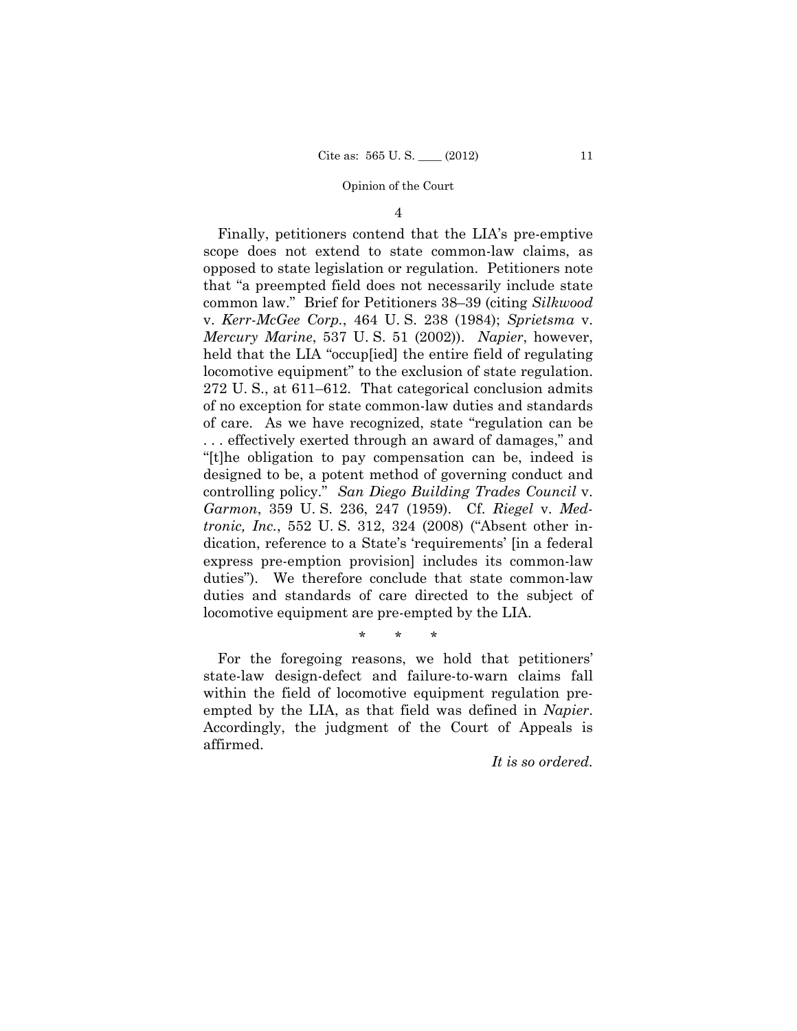4

Finally, petitioners contend that the LIA's pre-emptive scope does not extend to state common-law claims, as opposed to state legislation or regulation. Petitioners note that "a preempted field does not necessarily include state common law." Brief for Petitioners 38–39 (citing *Silkwood*  v. *Kerr-McGee Corp.*, 464 U. S. 238 (1984); *Sprietsma* v. *Mercury Marine*, 537 U. S. 51 (2002)). *Napier*, however, held that the LIA "occupsid" the entire field of regulating locomotive equipment" to the exclusion of state regulation. 272 U. S., at 611–612. That categorical conclusion admits of no exception for state common-law duties and standards of care. As we have recognized, state "regulation can be . . . effectively exerted through an award of damages," and "[t]he obligation to pay compensation can be, indeed is designed to be, a potent method of governing conduct and controlling policy." *San Diego Building Trades Council* v. *Garmon*, 359 U. S. 236, 247 (1959). Cf. *Riegel* v. *Medtronic, Inc.*, 552 U. S. 312, 324 (2008) ("Absent other indication, reference to a State's 'requirements' [in a federal express pre-emption provision] includes its common-law duties"). We therefore conclude that state common-law duties and standards of care directed to the subject of locomotive equipment are pre-empted by the LIA.

\* \* \*

For the foregoing reasons, we hold that petitioners' state-law design-defect and failure-to-warn claims fall within the field of locomotive equipment regulation preempted by the LIA, as that field was defined in *Napier*. Accordingly, the judgment of the Court of Appeals is affirmed.

*It is so ordered.*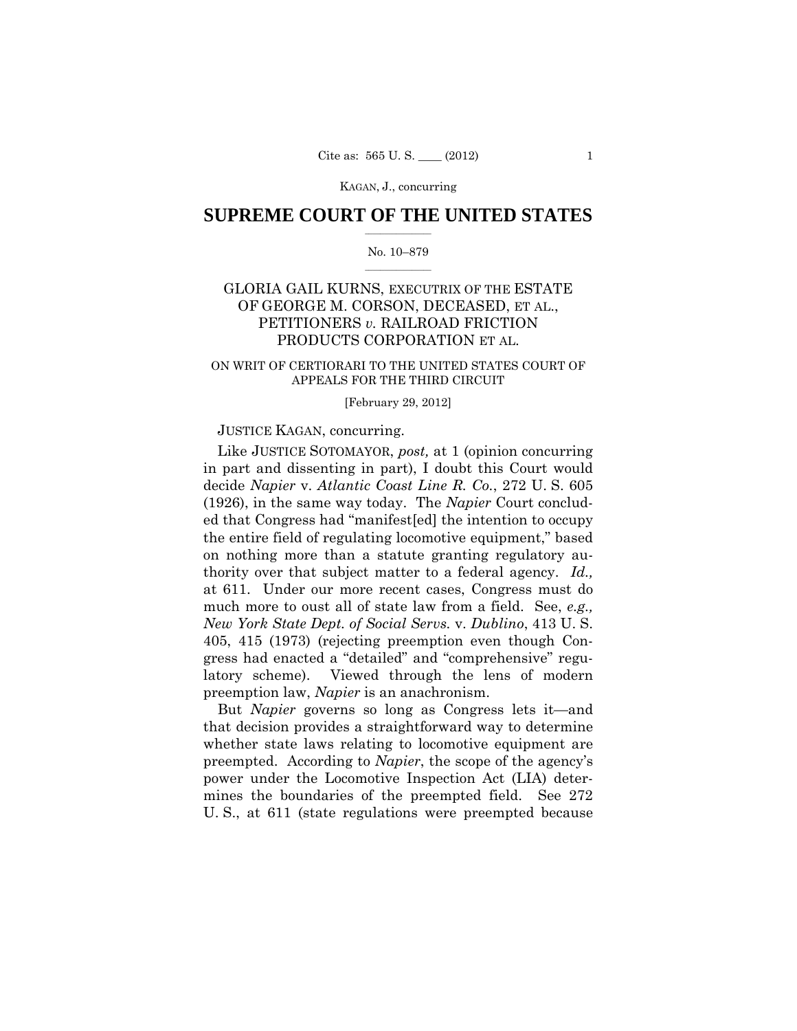KAGAN, J., concurring

# $\frac{1}{2}$  ,  $\frac{1}{2}$  ,  $\frac{1}{2}$  ,  $\frac{1}{2}$  ,  $\frac{1}{2}$  ,  $\frac{1}{2}$  ,  $\frac{1}{2}$ **SUPREME COURT OF THE UNITED STATES**

### $\frac{1}{2}$  ,  $\frac{1}{2}$  ,  $\frac{1}{2}$  ,  $\frac{1}{2}$  ,  $\frac{1}{2}$  ,  $\frac{1}{2}$ No. 10–879

# GLORIA GAIL KURNS, EXECUTRIX OF THE ESTATE OF GEORGE M. CORSON, DECEASED, ET AL., PETITIONERS *v.* RAILROAD FRICTION PRODUCTS CORPORATION ET AL.

# APPEALS FOR THE THIRD CIRCUIT<br>[February 29, 2012] ON WRIT OF CERTIORARI TO THE UNITED STATES COURT OF

# JUSTICE KAGAN, concurring.

 Like JUSTICE SOTOMAYOR, *post,* at 1 (opinion concurring in part and dissenting in part), I doubt this Court would decide *Napier* v. *Atlantic Coast Line R. Co.*, 272 U. S. 605 (1926), in the same way today. The *Napier* Court concluded that Congress had "manifest[ed] the intention to occupy the entire field of regulating locomotive equipment," based on nothing more than a statute granting regulatory authority over that subject matter to a federal agency. *Id.,*  at 611. Under our more recent cases, Congress must do much more to oust all of state law from a field. See, *e.g., New York State Dept. of Social Servs.* v. *Dublino*, 413 U. S. 405, 415 (1973) (rejecting preemption even though Congress had enacted a "detailed" and "comprehensive" regulatory scheme). Viewed through the lens of modern preemption law, *Napier* is an anachronism.

But *Napier* governs so long as Congress lets it—and that decision provides a straightforward way to determine whether state laws relating to locomotive equipment are preempted. According to *Napier*, the scope of the agency's power under the Locomotive Inspection Act (LIA) determines the boundaries of the preempted field. See 272 U. S., at 611 (state regulations were preempted because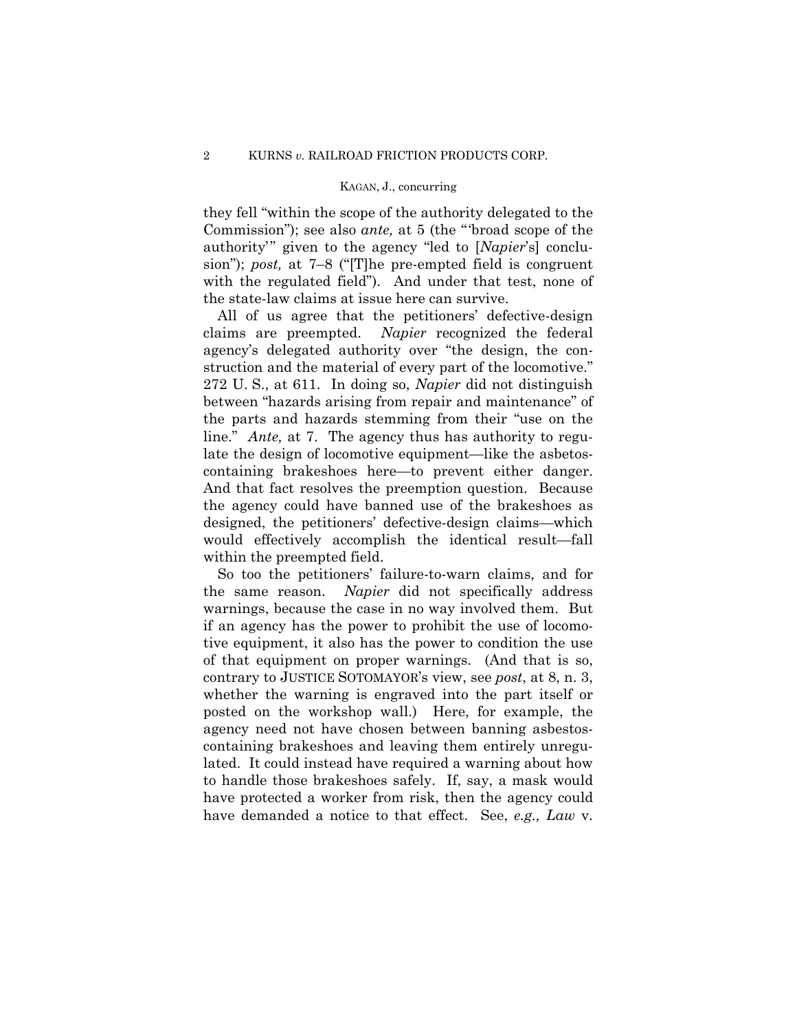#### KAGAN, J., concurring

they fell "within the scope of the authority delegated to the Commission"); see also *ante,* at 5 (the " 'broad scope of the authority'" given to the agency "led to [*Napier*'s] conclusion"); *post,* at 7–8 ("[T]he pre-empted field is congruent with the regulated field"). And under that test, none of the state-law claims at issue here can survive.

All of us agree that the petitioners' defective-design claims are preempted. *Napier* recognized the federal agency's delegated authority over "the design, the construction and the material of every part of the locomotive." 272 U. S., at 611. In doing so, *Napier* did not distinguish between "hazards arising from repair and maintenance" of the parts and hazards stemming from their "use on the line." *Ante*, at 7. The agency thus has authority to regulate the design of locomotive equipment—like the asbetoscontaining brakeshoes here—to prevent either danger. And that fact resolves the preemption question. Because the agency could have banned use of the brakeshoes as designed, the petitioners' defective-design claims—which would effectively accomplish the identical result—fall within the preempted field.

So too the petitioners' failure-to-warn claims, and for the same reason. *Napier* did not specifically address warnings, because the case in no way involved them. But if an agency has the power to prohibit the use of locomotive equipment, it also has the power to condition the use of that equipment on proper warnings. (And that is so, contrary to JUSTICE SOTOMAYOR's view, see *post*, at 8, n. 3, whether the warning is engraved into the part itself or posted on the workshop wall.) Here, for example, the agency need not have chosen between banning asbestoscontaining brakeshoes and leaving them entirely unregulated. It could instead have required a warning about how to handle those brakeshoes safely. If, say, a mask would have protected a worker from risk, then the agency could have demanded a notice to that effect. See, *e.g., Law* v.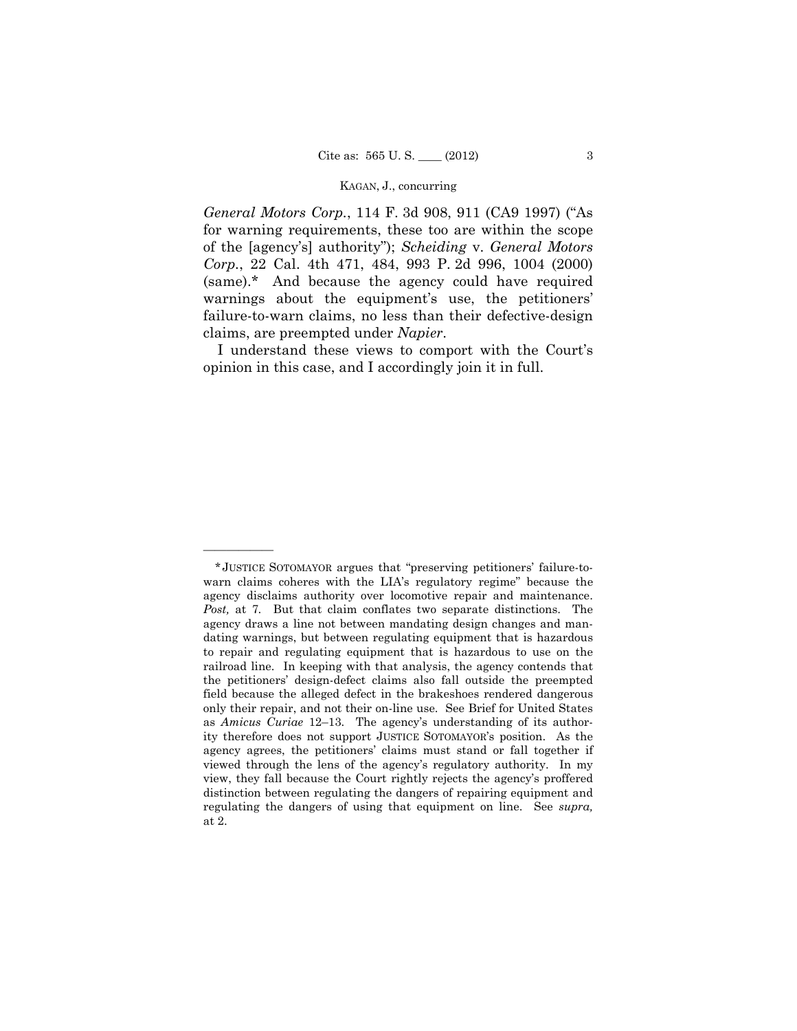#### KAGAN, J., concurring

 (same).\* And because the agency could have required *General Motors Corp.*, 114 F. 3d 908, 911 (CA9 1997) ("As for warning requirements, these too are within the scope of the [agency's] authority"); *Scheiding* v. *General Motors Corp.*, 22 Cal. 4th 471, 484, 993 P. 2d 996, 1004 (2000) warnings about the equipment's use, the petitioners' failure-to-warn claims, no less than their defective-design claims, are preempted under *Napier*.

I understand these views to comport with the Court's opinion in this case, and I accordingly join it in full.

 as *Amicus Curiae* 12–13. The agency's understanding of its author-\* JUSTICE SOTOMAYOR argues that "preserving petitioners' failure-towarn claims coheres with the LIA's regulatory regime" because the agency disclaims authority over locomotive repair and maintenance. *Post,* at 7*.* But that claim conflates two separate distinctions. The agency draws a line not between mandating design changes and mandating warnings, but between regulating equipment that is hazardous to repair and regulating equipment that is hazardous to use on the railroad line. In keeping with that analysis, the agency contends that the petitioners' design-defect claims also fall outside the preempted field because the alleged defect in the brakeshoes rendered dangerous only their repair, and not their on-line use. See Brief for United States ity therefore does not support JUSTICE SOTOMAYOR's position. As the agency agrees, the petitioners' claims must stand or fall together if viewed through the lens of the agency's regulatory authority. In my view, they fall because the Court rightly rejects the agency's proffered distinction between regulating the dangers of repairing equipment and regulating the dangers of using that equipment on line. See *supra,*  at 2.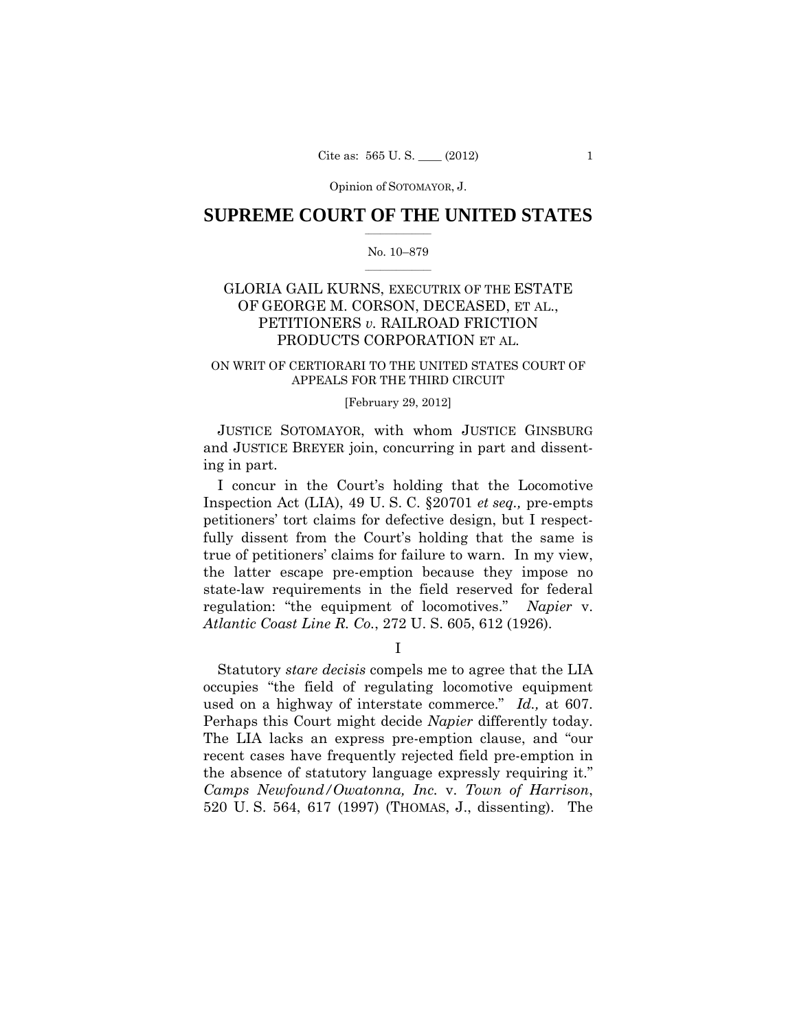# $\frac{1}{2}$  ,  $\frac{1}{2}$  ,  $\frac{1}{2}$  ,  $\frac{1}{2}$  ,  $\frac{1}{2}$  ,  $\frac{1}{2}$  ,  $\frac{1}{2}$ **SUPREME COURT OF THE UNITED STATES**

### $\frac{1}{2}$  ,  $\frac{1}{2}$  ,  $\frac{1}{2}$  ,  $\frac{1}{2}$  ,  $\frac{1}{2}$  ,  $\frac{1}{2}$ No. 10–879

# GLORIA GAIL KURNS, EXECUTRIX OF THE ESTATE<br>OF GEORGE M. CORSON, DECEASED, ET AL., PETITIONERS *v.* RAILROAD FRICTION PRODUCTS CORPORATION ET AL.

# ON WRIT OF CERTIORARI TO THE UNITED STATES COURT OF<br>APPEALS FOR THE THIRD CIRCUIT<br>[February 29, 2012] APPEALS FOR THE THIRD CIRCUIT

 JUSTICE SOTOMAYOR, with whom JUSTICE GINSBURG and JUSTICE BREYER join, concurring in part and dissenting in part.

I concur in the Court's holding that the Locomotive Inspection Act (LIA), 49 U. S. C. §20701 *et seq.,* pre-empts petitioners' tort claims for defective design, but I respectfully dissent from the Court's holding that the same is true of petitioners' claims for failure to warn. In my view, the latter escape pre-emption because they impose no state-law requirements in the field reserved for federal regulation: "the equipment of locomotives." *Napier* v. *Atlantic Coast Line R. Co.*, 272 U. S. 605, 612 (1926).

I

used on a highway of interstate commerce." Id., at 607. used on a highway of interstate commerce." *Id.,* at 607. Perhaps this Court might decide *Napier* differently today. 520 U. S. 564, 617 (1997) (THOMAS, J., dissenting). The Statutory *stare decisis* compels me to agree that the LIA occupies "the field of regulating locomotive equipment The LIA lacks an express pre-emption clause, and "our recent cases have frequently rejected field pre-emption in the absence of statutory language expressly requiring it." *Camps Newfound/Owatonna, Inc.* v. *Town of Harrison*,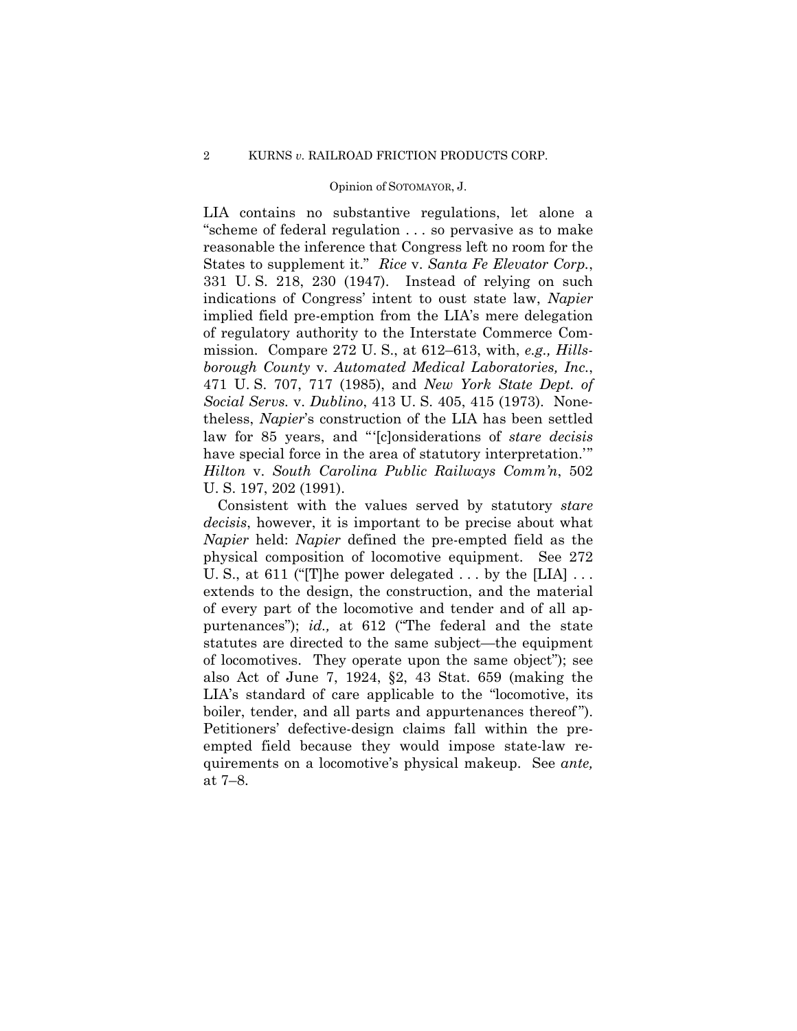LIA contains no substantive regulations, let alone a "scheme of federal regulation . . . so pervasive as to make reasonable the inference that Congress left no room for the States to supplement it." *Rice* v. *Santa Fe Elevator Corp.*, 331 U. S. 218, 230 (1947). Instead of relying on such indications of Congress' intent to oust state law, *Napier*  implied field pre-emption from the LIA's mere delegation of regulatory authority to the Interstate Commerce Commission. Compare 272 U. S., at 612–613, with, *e.g., Hillsborough County* v. *Automated Medical Laboratories, Inc.*, 471 U. S. 707, 717 (1985), and *New York State Dept. of Social Servs.* v. *Dublino*, 413 U. S. 405, 415 (1973). Nonetheless, *Napier*'s construction of the LIA has been settled law for 85 years, and "'[c]onsiderations of *stare decisis*  have special force in the area of statutory interpretation.'" *Hilton* v. *South Carolina Public Railways Comm'n*, 502 U. S. 197, 202 (1991).

Consistent with the values served by statutory *stare decisis*, however, it is important to be precise about what *Napier* held: *Napier* defined the pre-empted field as the physical composition of locomotive equipment. See 272 U. S., at 611 ("The power delegated  $\dots$  by the [LIA]  $\dots$ extends to the design, the construction, and the material of every part of the locomotive and tender and of all appurtenances"); *id.,* at 612 ("The federal and the state statutes are directed to the same subject—the equipment of locomotives. They operate upon the same object"); see also Act of June 7, 1924, §2, 43 Stat. 659 (making the LIA's standard of care applicable to the "locomotive, its boiler, tender, and all parts and appurtenances thereof"). Petitioners' defective-design claims fall within the preempted field because they would impose state-law requirements on a locomotive's physical makeup. See *ante,*  at 7–8.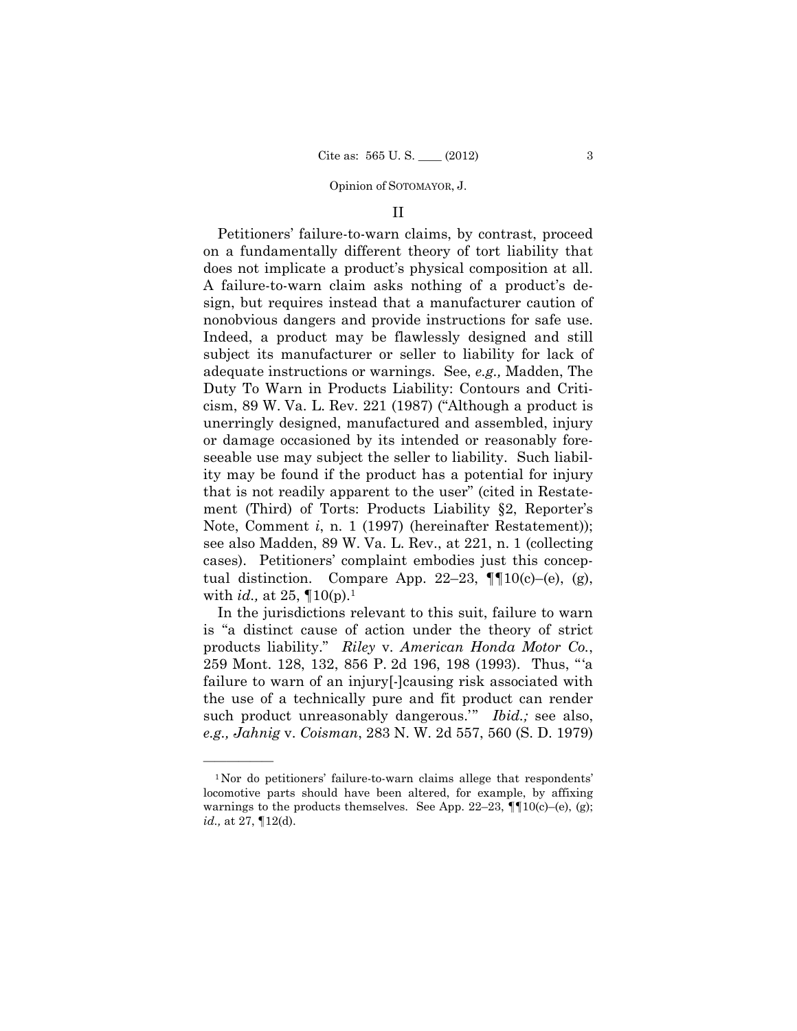# II

Petitioners' failure-to-warn claims, by contrast, proceed on a fundamentally different theory of tort liability that does not implicate a product's physical composition at all. A failure-to-warn claim asks nothing of a product's design, but requires instead that a manufacturer caution of nonobvious dangers and provide instructions for safe use. Indeed, a product may be flawlessly designed and still subject its manufacturer or seller to liability for lack of adequate instructions or warnings. See, *e.g.,* Madden, The Duty To Warn in Products Liability: Contours and Criticism, 89 W. Va. L. Rev. 221 (1987) ("Although a product is unerringly designed, manufactured and assembled, injury or damage occasioned by its intended or reasonably foreseeable use may subject the seller to liability. Such liability may be found if the product has a potential for injury that is not readily apparent to the user" (cited in Restatement (Third) of Torts: Products Liability §2, Reporter's Note, Comment *i*, n. 1 (1997) (hereinafter Restatement)); see also Madden, 89 W. Va. L. Rev., at 221, n. 1 (collecting cases). Petitioners' complaint embodies just this conceptual distinction. Compare App. 22–23,  $\P$ [10(c)–(e), (g), with *id.,* at 25, ¶10(p).1

In the jurisdictions relevant to this suit, failure to warn is "a distinct cause of action under the theory of strict products liability." *Riley* v. *American Honda Motor Co.*, 259 Mont. 128, 132, 856 P. 2d 196, 198 (1993). Thus, "'a failure to warn of an injury[-]causing risk associated with the use of a technically pure and fit product can render such product unreasonably dangerous.'" *Ibid.;* see also, *e.g., Jahnig* v. *Coisman*, 283 N. W. 2d 557, 560 (S. D. 1979)

<sup>1</sup>Nor do petitioners' failure-to-warn claims allege that respondents' locomotive parts should have been altered, for example, by affixing warnings to the products themselves. See App. 22–23,  $\P$  $[10(c)–(e), (g);$ *id.,* at 27, ¶12(d).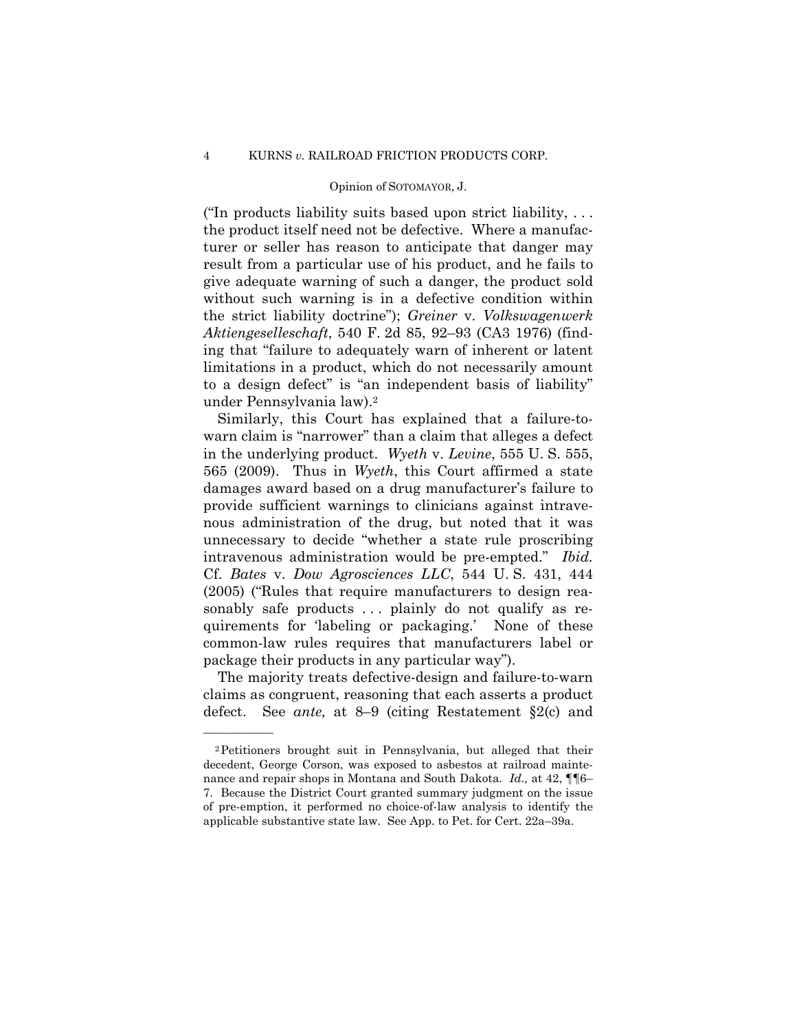("In products liability suits based upon strict liability, . . . the product itself need not be defective. Where a manufacturer or seller has reason to anticipate that danger may result from a particular use of his product, and he fails to give adequate warning of such a danger, the product sold without such warning is in a defective condition within the strict liability doctrine"); *Greiner* v. *Volkswagenwerk Aktiengeselleschaft*, 540 F. 2d 85, 92–93 (CA3 1976) (finding that "failure to adequately warn of inherent or latent limitations in a product, which do not necessarily amount to a design defect" is "an independent basis of liability" under Pennsylvania law).2

Similarly, this Court has explained that a failure-towarn claim is "narrower" than a claim that alleges a defect in the underlying product. *Wyeth* v. *Levine*, 555 U. S. 555, 565 (2009). Thus in *Wyeth*, this Court affirmed a state damages award based on a drug manufacturer's failure to provide sufficient warnings to clinicians against intravenous administration of the drug, but noted that it was unnecessary to decide "whether a state rule proscribing intravenous administration would be pre-empted." *Ibid.* Cf. *Bates* v. *Dow Agrosciences LLC*, 544 U. S. 431, 444 (2005) ("Rules that require manufacturers to design reasonably safe products ... plainly do not qualify as requirements for 'labeling or packaging.' None of these common-law rules requires that manufacturers label or package their products in any particular way").

The majority treats defective-design and failure-to-warn claims as congruent, reasoning that each asserts a product defect. See *ante,* at 8–9 (citing Restatement §2(c) and

<sup>2</sup>Petitioners brought suit in Pennsylvania, but alleged that their decedent, George Corson, was exposed to asbestos at railroad maintenance and repair shops in Montana and South Dakota. *Id.*, at 42,  $\P\$ 6– 7. Because the District Court granted summary judgment on the issue of pre-emption, it performed no choice-of-law analysis to identify the applicable substantive state law. See App. to Pet. for Cert. 22a–39a.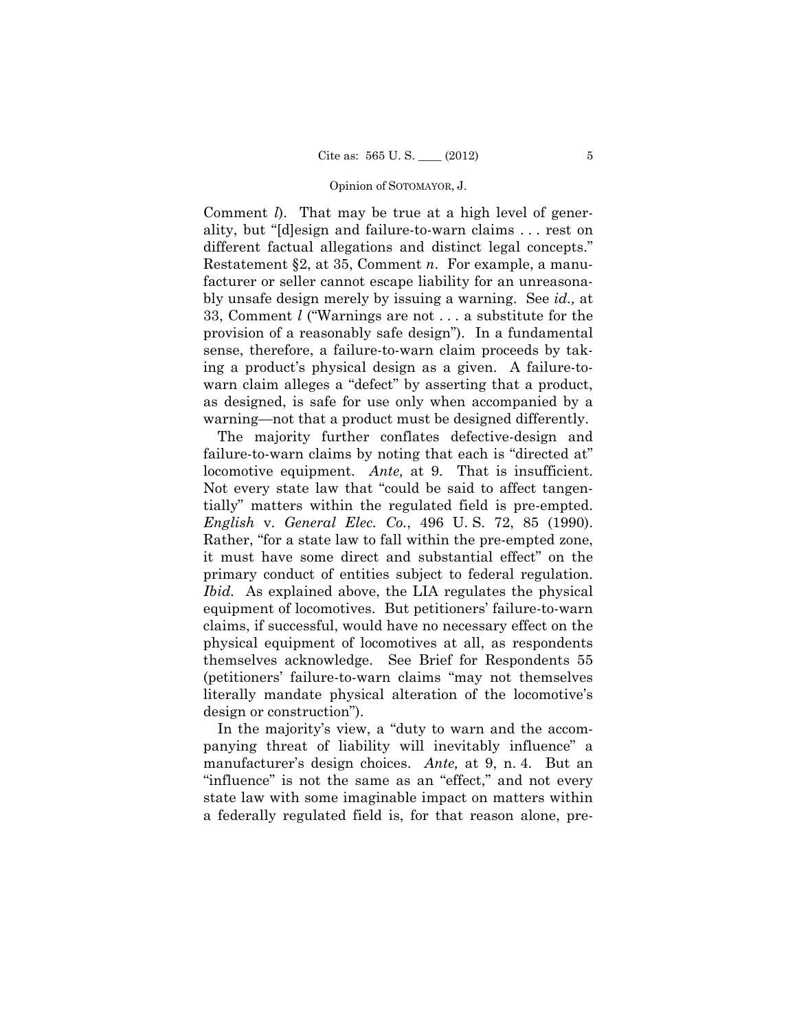Comment *l*). That may be true at a high level of generality, but "[d]esign and failure-to-warn claims . . . rest on different factual allegations and distinct legal concepts." Restatement §2, at 35, Comment *n*. For example, a manufacturer or seller cannot escape liability for an unreasonably unsafe design merely by issuing a warning. See *id.,* at 33, Comment *l* ("Warnings are not . . . a substitute for the provision of a reasonably safe design"). In a fundamental sense, therefore, a failure-to-warn claim proceeds by taking a product's physical design as a given. A failure-towarn claim alleges a "defect" by asserting that a product, as designed, is safe for use only when accompanied by a warning—not that a product must be designed differently.

 tially" matters within the regulated field is pre-empted. *English* v. *General Elec. Co.*, 496 U. S. 72, 85 (1990). The majority further conflates defective-design and failure-to-warn claims by noting that each is "directed at" locomotive equipment. *Ante*, at 9. That is insufficient. Not every state law that "could be said to affect tangen-Rather, "for a state law to fall within the pre-empted zone, it must have some direct and substantial effect" on the primary conduct of entities subject to federal regulation. *Ibid.* As explained above, the LIA regulates the physical equipment of locomotives. But petitioners' failure-to-warn claims, if successful, would have no necessary effect on the physical equipment of locomotives at all, as respondents themselves acknowledge. See Brief for Respondents 55 (petitioners' failure-to-warn claims "may not themselves literally mandate physical alteration of the locomotive's design or construction").

In the majority's view, a "duty to warn and the accompanying threat of liability will inevitably influence" a manufacturer's design choices. *Ante,* at 9, n. 4. But an "influence" is not the same as an "effect," and not every state law with some imaginable impact on matters within a federally regulated field is, for that reason alone, pre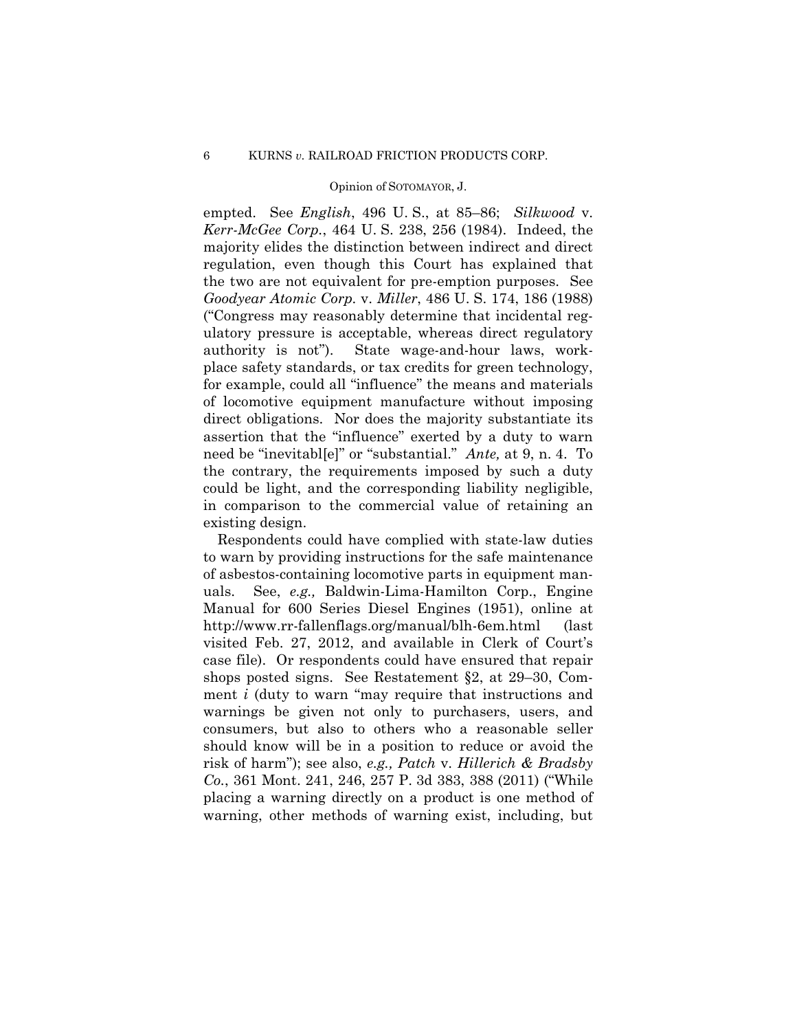empted. See *English*, 496 U. S., at 85–86; *Silkwood* v. *Kerr-McGee Corp.*, 464 U. S. 238, 256 (1984). Indeed, the majority elides the distinction between indirect and direct regulation, even though this Court has explained that the two are not equivalent for pre-emption purposes. See *Goodyear Atomic Corp.* v. *Miller*, 486 U. S. 174, 186 (1988) ("Congress may reasonably determine that incidental regulatory pressure is acceptable, whereas direct regulatory authority is not"). State wage-and-hour laws, workplace safety standards, or tax credits for green technology, for example, could all "influence" the means and materials of locomotive equipment manufacture without imposing direct obligations. Nor does the majority substantiate its assertion that the "influence" exerted by a duty to warn need be "inevitabl[e]" or "substantial." *Ante,* at 9, n. 4. To the contrary, the requirements imposed by such a duty could be light, and the corresponding liability negligible, in comparison to the commercial value of retaining an existing design.

Respondents could have complied with state-law duties to warn by providing instructions for the safe maintenance of asbestos-containing locomotive parts in equipment manuals. See, *e.g.,* Baldwin-Lima-Hamilton Corp., Engine Manual for 600 Series Diesel Engines (1951), online at http://www.rr-fallenflags.org/manual/blh-6em.html (last visited Feb. 27, 2012, and available in Clerk of Court's case file). Or respondents could have ensured that repair shops posted signs. See Restatement §2, at 29–30, Comment *i* (duty to warn "may require that instructions and warnings be given not only to purchasers, users, and consumers, but also to others who a reasonable seller should know will be in a position to reduce or avoid the risk of harm"); see also, *e.g., Patch* v. *Hillerich & Bradsby Co.*, 361 Mont. 241, 246, 257 P. 3d 383, 388 (2011) ("While placing a warning directly on a product is one method of warning, other methods of warning exist, including, but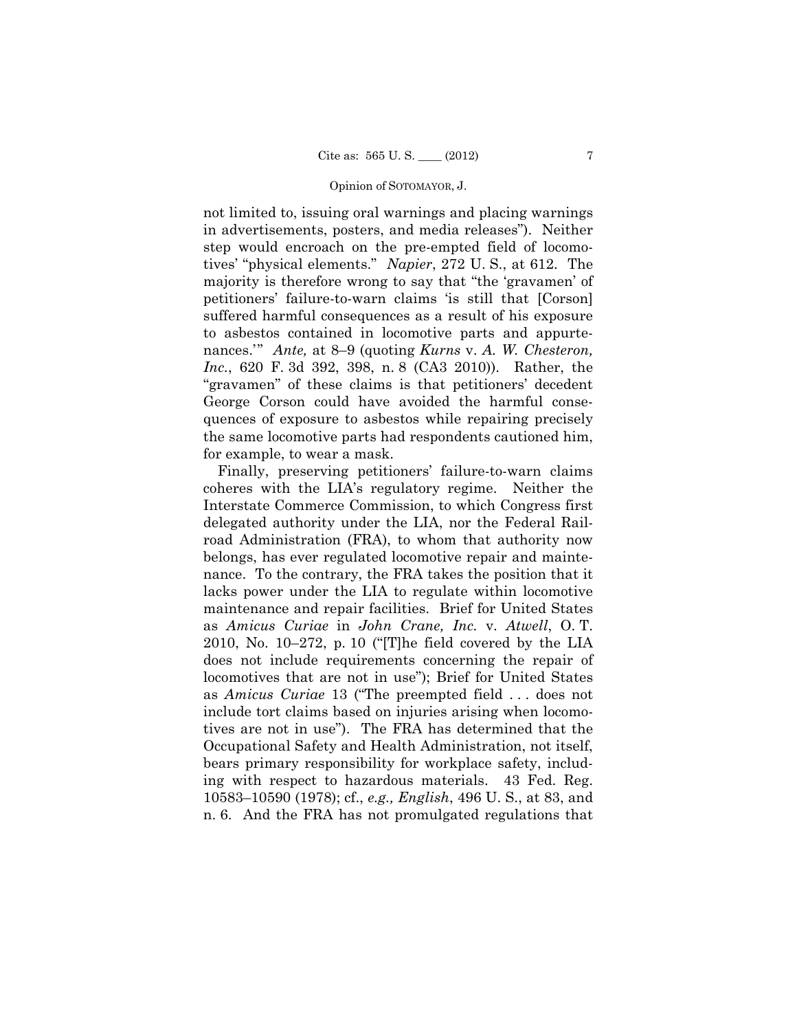suffered harmful consequences as a result of his exposure not limited to, issuing oral warnings and placing warnings in advertisements, posters, and media releases"). Neither step would encroach on the pre-empted field of locomotives' "physical elements." *Napier*, 272 U. S., at 612. The majority is therefore wrong to say that "the 'gravamen' of petitioners' failure-to-warn claims 'is still that [Corson] to asbestos contained in locomotive parts and appurtenances.'" *Ante,* at 8–9 (quoting *Kurns* v. *A. W. Chesteron, Inc.*, 620 F. 3d 392, 398, n. 8 (CA3 2010)). Rather, the "gravamen" of these claims is that petitioners' decedent George Corson could have avoided the harmful consequences of exposure to asbestos while repairing precisely the same locomotive parts had respondents cautioned him, for example, to wear a mask.

 as *Amicus Curiae* in *John Crane, Inc.* v. *Atwell*, O. T. Finally, preserving petitioners' failure-to-warn claims coheres with the LIA's regulatory regime. Neither the Interstate Commerce Commission, to which Congress first delegated authority under the LIA, nor the Federal Railroad Administration (FRA), to whom that authority now belongs, has ever regulated locomotive repair and maintenance. To the contrary, the FRA takes the position that it lacks power under the LIA to regulate within locomotive maintenance and repair facilities. Brief for United States 2010, No. 10–272, p. 10 ("[T]he field covered by the LIA does not include requirements concerning the repair of locomotives that are not in use"); Brief for United States as *Amicus Curiae* 13 ("The preempted field . . . does not include tort claims based on injuries arising when locomotives are not in use"). The FRA has determined that the Occupational Safety and Health Administration, not itself, bears primary responsibility for workplace safety, including with respect to hazardous materials. 43 Fed. Reg. 10583–10590 (1978); cf., *e.g., English*, 496 U. S., at 83, and n. 6. And the FRA has not promulgated regulations that